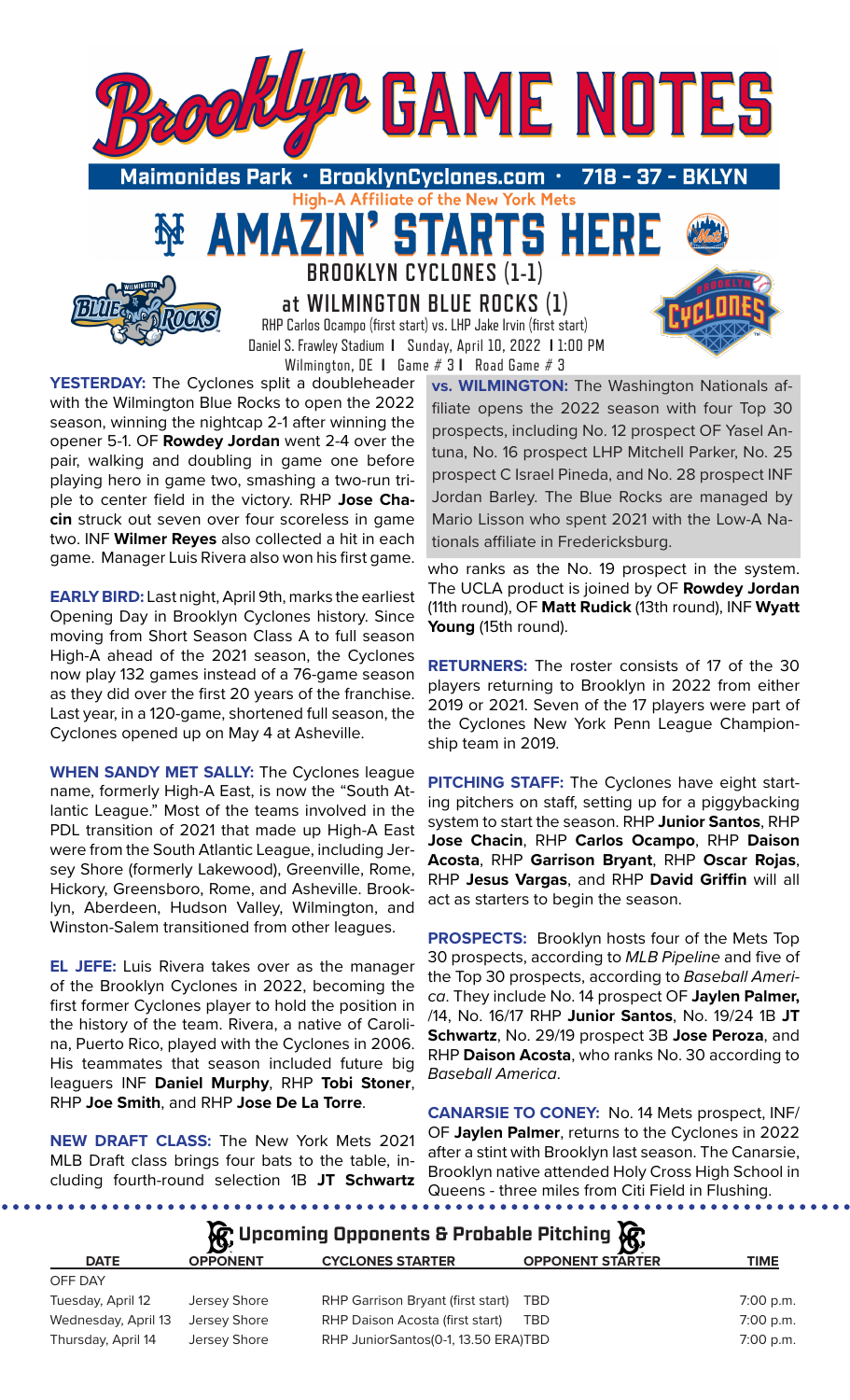

**YESTERDAY:** The Cyclones split a doubleheader with the Wilmington Blue Rocks to open the 2022 season, winning the nightcap 2-1 after winning the opener 5-1. OF **Rowdey Jordan** went 2-4 over the pair, walking and doubling in game one before playing hero in game two, smashing a two-run triple to center field in the victory. RHP **Jose Chacin** struck out seven over four scoreless in game two. INF **Wilmer Reyes** also collected a hit in each game. Manager Luis Rivera also won his first game.

**EARLY BIRD:** Last night, April 9th, marks the earliest Opening Day in Brooklyn Cyclones history. Since moving from Short Season Class A to full season High-A ahead of the 2021 season, the Cyclones now play 132 games instead of a 76-game season as they did over the first 20 years of the franchise. Last year, in a 120-game, shortened full season, the Cyclones opened up on May 4 at Asheville.

**WHEN SANDY MET SALLY:** The Cyclones league name, formerly High-A East, is now the "South Atlantic League." Most of the teams involved in the PDL transition of 2021 that made up High-A East were from the South Atlantic League, including Jersey Shore (formerly Lakewood), Greenville, Rome, Hickory, Greensboro, Rome, and Asheville. Brooklyn, Aberdeen, Hudson Valley, Wilmington, and Winston-Salem transitioned from other leagues.

**EL JEFE:** Luis Rivera takes over as the manager of the Brooklyn Cyclones in 2022, becoming the first former Cyclones player to hold the position in the history of the team. Rivera, a native of Carolina, Puerto Rico, played with the Cyclones in 2006. His teammates that season included future big leaguers INF **Daniel Murphy**, RHP **Tobi Stoner**, RHP **Joe Smith**, and RHP **Jose De La Torre**.

**NEW DRAFT CLASS:** The New York Mets 2021 MLB Draft class brings four bats to the table, including fourth-round selection 1B **JT Schwartz**

**vs. WILMINGTON:** The Washington Nationals affiliate opens the 2022 season with four Top 30 prospects, including No. 12 prospect OF Yasel Antuna, No. 16 prospect LHP Mitchell Parker, No. 25 prospect C Israel Pineda, and No. 28 prospect INF Jordan Barley. The Blue Rocks are managed by Mario Lisson who spent 2021 with the Low-A Nationals affiliate in Fredericksburg.

who ranks as the No. 19 prospect in the system. The UCLA product is joined by OF **Rowdey Jordan**  (11th round), OF **Matt Rudick** (13th round), INF **Wyatt Young** (15th round).

**RETURNERS:** The roster consists of 17 of the 30 players returning to Brooklyn in 2022 from either 2019 or 2021. Seven of the 17 players were part of the Cyclones New York Penn League Championship team in 2019.

**PITCHING STAFF:** The Cyclones have eight starting pitchers on staff, setting up for a piggybacking system to start the season. RHP **Junior Santos**, RHP **Jose Chacin**, RHP **Carlos Ocampo**, RHP **Daison Acosta**, RHP **Garrison Bryant**, RHP **Oscar Rojas**, RHP **Jesus Vargas**, and RHP **David Griffin** will all act as starters to begin the season.

**PROSPECTS:** Brooklyn hosts four of the Mets Top 30 prospects, according to *MLB Pipeline* and five of the Top 30 prospects, according to *Baseball America*. They include No. 14 prospect OF **Jaylen Palmer,** /14, No. 16/17 RHP **Junior Santos**, No. 19/24 1B **JT Schwartz**, No. 29/19 prospect 3B **Jose Peroza**, and RHP **Daison Acosta**, who ranks No. 30 according to *Baseball America*.

**CANARSIE TO CONEY:** No. 14 Mets prospect, INF/ OF **Jaylen Palmer**, returns to the Cyclones in 2022 after a stint with Brooklyn last season. The Canarsie, Brooklyn native attended Holy Cross High School in Queens - three miles from Citi Field in Flushing.

| $\mathcal{G}$ , Upcoming Opponents & Probable Pitching $\mathcal{G}$ , |                 |                                     |                         |             |  |  |  |  |  |  |
|------------------------------------------------------------------------|-----------------|-------------------------------------|-------------------------|-------------|--|--|--|--|--|--|
| <b>DATE</b>                                                            | <b>OPPONENT</b> | <b>CYCLONES STARTER</b>             | <b>OPPONENT STARTER</b> | <b>TIME</b> |  |  |  |  |  |  |
| OFF DAY                                                                |                 |                                     |                         |             |  |  |  |  |  |  |
| Tuesday, April 12                                                      | Jersey Shore    | RHP Garrison Bryant (first start)   | <b>TBD</b>              | 7:00 p.m.   |  |  |  |  |  |  |
| Wednesday, April 13                                                    | Jersey Shore    | RHP Daison Acosta (first start)     | <b>TBD</b>              | 7:00 p.m.   |  |  |  |  |  |  |
| Thursday, April 14                                                     | Jersey Shore    | RHP JuniorSantos(0-1, 13.50 ERA)TBD |                         | 7:00 p.m.   |  |  |  |  |  |  |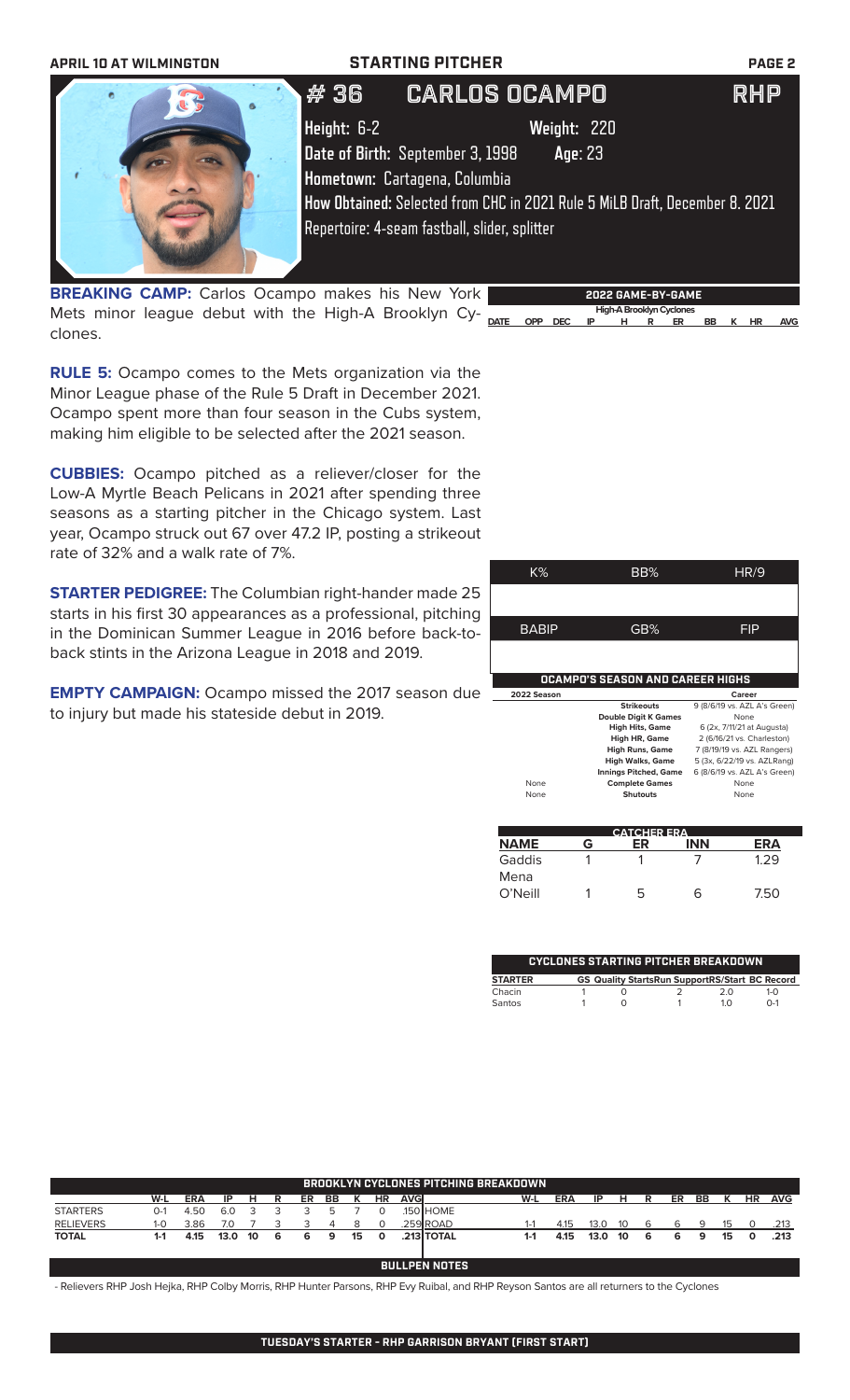

**BREAKING CAMP:** Carlos Ocampo makes his New York Mets minor league debut with the High-A Brooklyn Cy- <sub>pare</sub> app pec in thigh-ABrooklyn Cyclones clones.

**RULE 5:** Ocampo comes to the Mets organization via the Minor League phase of the Rule 5 Draft in December 2021. Ocampo spent more than four season in the Cubs system, making him eligible to be selected after the 2021 season.

**CUBBIES:** Ocampo pitched as a reliever/closer for the Low-A Myrtle Beach Pelicans in 2021 after spending three seasons as a starting pitcher in the Chicago system. Last year, Ocampo struck out 67 over 47.2 IP, posting a strikeout rate of 32% and a walk rate of 7%.

**STARTER PEDIGREE:** The Columbian right-hander made 25 starts in his first 30 appearances as a professional, pitching in the Dominican Summer League in 2016 before back-toback stints in the Arizona League in 2018 and 2019.

**EMPTY CAMPAIGN:** Ocampo missed the 2017 season due to injury but made his stateside debut in 2019.

| K%                                      | BB%                          | <b>HR/9</b>                  |  |  |  |  |  |  |  |  |
|-----------------------------------------|------------------------------|------------------------------|--|--|--|--|--|--|--|--|
|                                         |                              |                              |  |  |  |  |  |  |  |  |
|                                         |                              |                              |  |  |  |  |  |  |  |  |
| <b>BABIP</b>                            | GB%                          | FIP                          |  |  |  |  |  |  |  |  |
|                                         |                              |                              |  |  |  |  |  |  |  |  |
|                                         |                              |                              |  |  |  |  |  |  |  |  |
| <b>OCAMPO'S SEASON AND CAREER HIGHS</b> |                              |                              |  |  |  |  |  |  |  |  |
|                                         |                              |                              |  |  |  |  |  |  |  |  |
| 2022 Season                             |                              | Career                       |  |  |  |  |  |  |  |  |
|                                         | <b>Strikeouts</b>            | 9 (8/6/19 vs. AZL A's Green) |  |  |  |  |  |  |  |  |
|                                         | <b>Double Digit K Games</b>  | None                         |  |  |  |  |  |  |  |  |
|                                         | <b>High Hits, Game</b>       | 6 (2x, 7/11/21 at Augusta)   |  |  |  |  |  |  |  |  |
|                                         | High HR, Game                | 2 (6/16/21 vs. Charleston)   |  |  |  |  |  |  |  |  |
|                                         | <b>High Runs, Game</b>       | 7 (8/19/19 vs. AZL Rangers)  |  |  |  |  |  |  |  |  |
|                                         | <b>High Walks, Game</b>      | 5 (3x, 6/22/19 vs. AZLRang)  |  |  |  |  |  |  |  |  |
|                                         | <b>Innings Pitched, Game</b> | 6 (8/6/19 vs. AZL A's Green) |  |  |  |  |  |  |  |  |
| None                                    | <b>Complete Games</b>        | None                         |  |  |  |  |  |  |  |  |
| None                                    | <b>Shutouts</b>              | None                         |  |  |  |  |  |  |  |  |

**DATE OPP DEC IP H R ER BB K HR AVG**

| <b>CATCHER ERA</b> |   |    |            |      |  |  |  |  |  |  |
|--------------------|---|----|------------|------|--|--|--|--|--|--|
| <b>NAME</b>        | G |    | <b>INN</b> | ERA  |  |  |  |  |  |  |
| Gaddis             |   |    |            | 1.29 |  |  |  |  |  |  |
| Mena               |   |    |            |      |  |  |  |  |  |  |
| O'Neill            |   | h. | h          | 750  |  |  |  |  |  |  |

| <b>CYCLONES STARTING PITCHER BREAKDOWN</b> |  |  |                                                       |            |              |  |  |  |  |  |
|--------------------------------------------|--|--|-------------------------------------------------------|------------|--------------|--|--|--|--|--|
| <b>STARTER</b>                             |  |  | <b>GS Quality StartsRun SupportRS/Start BC Record</b> |            |              |  |  |  |  |  |
| Chacin                                     |  |  |                                                       | 2 O        | $1 - \Omega$ |  |  |  |  |  |
| Santos                                     |  |  |                                                       | $1 \Omega$ | $0 - 1$      |  |  |  |  |  |

| <b>BROOKLYN CYCLONES PITCHING BREAKDOWN</b> |                |            |      |    |   |    |    |    |              |             |            |         |            |      |    |   |    |    |    |           |            |
|---------------------------------------------|----------------|------------|------|----|---|----|----|----|--------------|-------------|------------|---------|------------|------|----|---|----|----|----|-----------|------------|
|                                             | W-L            | <b>ERA</b> | IP   | н  | R | ER | BB |    | <b>HR</b>    | <b>AVGI</b> |            | W-L     | <b>ERA</b> | ΙP   | н  | R | ER | BB | К  | <b>HR</b> | <b>AVG</b> |
| <b>STARTERS</b>                             | 0-1            | 4.50       | 6.0  |    |   |    |    |    |              |             | .150 HOME  |         |            |      |    |   |    |    |    |           |            |
| <b>RELIEVERS</b>                            | $1 - 0$        | 3.86       | 7.0  |    |   |    |    |    | $\Omega$     |             | .259 ROAD  |         | 4.15       | 13.0 | 10 | 6 |    | 9  | 15 |           | .213       |
| <b>TOTAL</b>                                | $1-1$          | 4.15       | 13.0 | 10 | 6 | 6  | 9  | 15 | $\mathbf{o}$ |             | .213 TOTAL | $1 - 1$ | 4.15       | 13.0 | 10 | 6 | 6  | 9  | 15 |           | .213       |
|                                             |                |            |      |    |   |    |    |    |              |             |            |         |            |      |    |   |    |    |    |           |            |
|                                             | BULLPEN NOTES. |            |      |    |   |    |    |    |              |             |            |         |            |      |    |   |    |    |    |           |            |
|                                             |                |            |      |    |   |    |    |    |              |             |            |         |            |      |    |   |    |    |    |           |            |

- Relievers RHP Josh Hejka, RHP Colby Morris, RHP Hunter Parsons, RHP Evy Ruibal, and RHP Reyson Santos are all returners to the Cyclones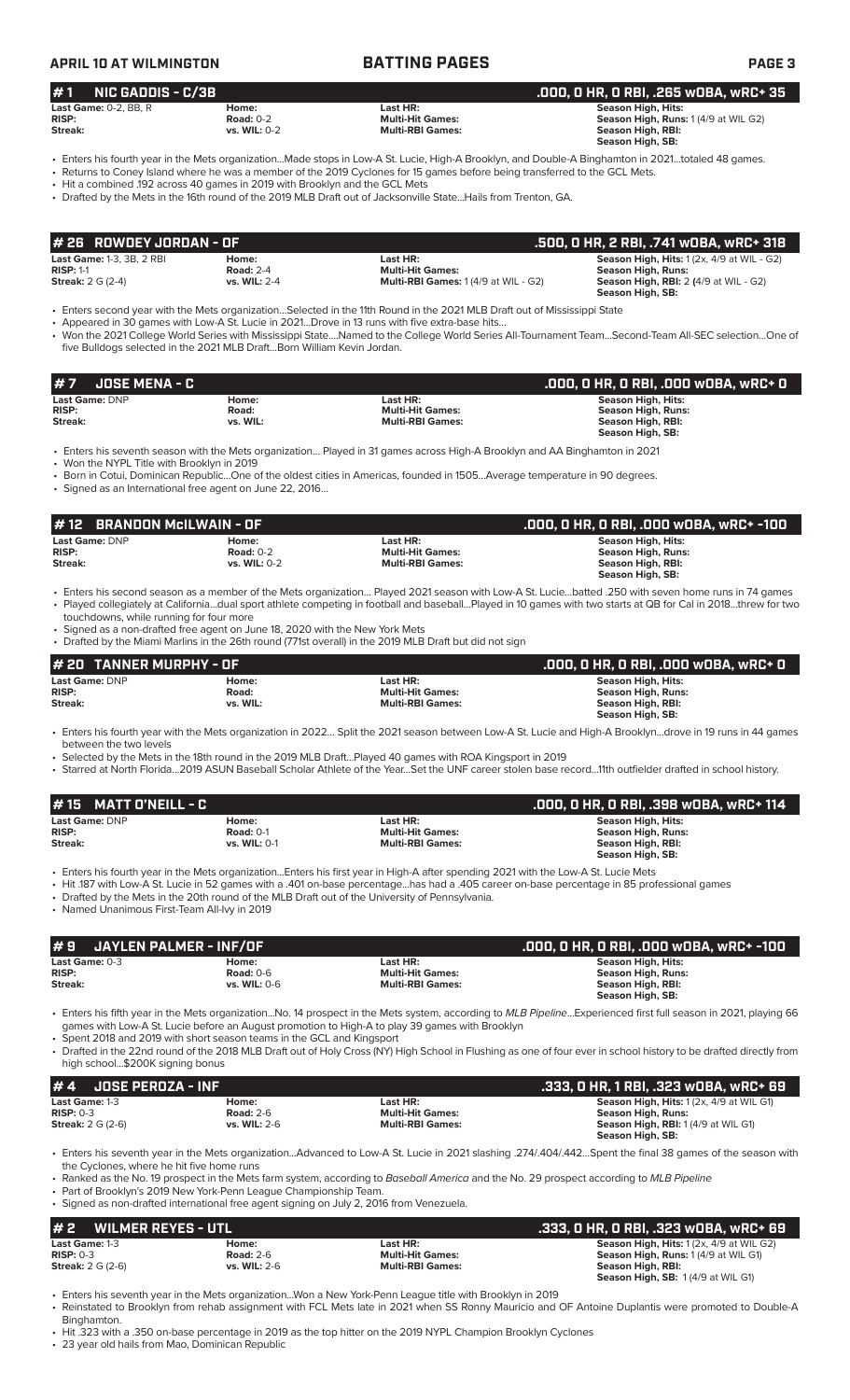### **APRIL 10 AT WILMINGTON BATTING PAGES PAGE 3 # 7 JOSE MENA - C .000, 0 HR, 0 RBI, .000 wOBA, wRC+ 0 Last Game:** DNP **Home: Last HR: Season High, Hits: RISP: Road: Multi-Hit Games: Season High, Runs: Streak: vs. WIL: Multi-RBI Games: Season High, RBI: Season High, SB:**  • Enters his seventh season with the Mets organization… Played in 31 games across High-A Brooklyn and AA Binghamton in 2021 • Won the NYPL Title with Brooklyn in 2019 • Born in Cotui, Dominican Republic…One of the oldest cities in Americas, founded in 1505…Average temperature in 90 degrees. • Signed as an International free agent on June 22, 2016… **Last Game:** DNP **Home: Last HR: Season High, Hits: RISP: Road: Multi-Hit Games: Season High, Runs: Streak: vs. WIL: Multi-RBI Games: Season High, RBI: Season High, SB:**  • Enters his fourth year with the Mets organization in 2022… Split the 2021 season between Low-A St. Lucie and High-A Brooklyn…drove in 19 runs in 44 games between the two levels • Selected by the Mets in the 18th round in the 2019 MLB Draft…Played 40 games with ROA Kingsport in 2019 • Starred at North Florida…2019 ASUN Baseball Scholar Athlete of the Year…Set the UNF career stolen base record…11th outfielder drafted in school history. **# 20 TANNER MURPHY - OF .000, 0 HR, 0 RBI, .000 wOBA, wRC+ 0 # 1 NIC GADDIS - C/3B .000, 0 HR, 0 RBI, .265 wOBA, wRC+ 35 Last Game:** 0-2, BB, R<br> **RISP: Right Road:** 0-2 **Home: Last HR: RISP: Multi-Hit Games: RISP: Road:** 0-2 **Multi-Hit Games: Season High, Runs:** 1 (4/9 at WIL G2) **Streak: vs. WIL:** 0-2 **Multi-RBI Games: Season High, RBI: Season High, SB:**  • Enters his fourth year in the Mets organization...Made stops in Low-A St. Lucie, High-A Brooklyn, and Double-A Binghamton in 2021…totaled 48 games. • Returns to Coney Island where he was a member of the 2019 Cyclones for 15 games before being transferred to the GCL Mets. • Hit a combined .192 across 40 games in 2019 with Brooklyn and the GCL Mets • Drafted by the Mets in the 16th round of the 2019 MLB Draft out of Jacksonville State...Hails from Trenton, GA. **Last Game:** 1-3, 3B, 2 RBI **Home: Last HR: Season High, Hits:** 1 (2x, 4/9 at WIL - G2) **RISP:** 1-1 **Road:** 2-4 **Multi-Hit Games: RISP:** 1-1 **Road:** 2-4 **Multi-Hit Games: Streak:** 2 G (2-4) **Streak:** 2 G (2-4) **Streak:** 2 G (2-4) **Streak:** 2 G (2-4) **Streak:** 2 G (2-4) **Streak:** 2 G (2-4) **Streak:** 2 G (2 **Streak:** 2 G (2-4) **vs. WIL:** 2-4 **Multi-RBI Games:** 1 (4/9 at WIL - G2) **Season High, RBI:** 2 **(**4/9 at WIL - G2) **Season High, SB:**  • Enters second year with the Mets organization…Selected in the 11th Round in the 2021 MLB Draft out of Mississippi State • Appeared in 30 games with Low-A St. Lucie in 2021…Drove in 13 runs with five extra-base hits… • Won the 2021 College World Series with Mississippi State….Named to the College World Series All-Tournament Team…Second-Team All-SEC selection…One of five Bulldogs selected in the 2021 MLB Draft…Born William Kevin Jordan. **# 26 ROWDEY JORDAN - OF .500, 0 HR, 2 RBI, .741 wOBA, wRC+ 318 Last Game:** DNP **Home: Last HR: Season High, Hits: RISP: Road:** 0-2 **Multi-Hit Games: Season High, Runs: Streak: vs. WIL:** 0-2 **Multi-RBI Games: Season High, RBI: Season High, SB:**  • Enters his second season as a member of the Mets organization… Played 2021 season with Low-A St. Lucie…batted .250 with seven home runs in 74 games • Played collegiately at California…dual sport athlete competing in football and baseball…Played in 10 games with two starts at QB for Cal in 2018…threw for two touchdowns, while running for four more Signed as a non-drafted free agent on June 18, 2020 with the New York Mets • Drafted by the Miami Marlins in the 26th round (771st overall) in the 2019 MLB Draft but did not sign **# 12 BRANDON McILWAIN - OF .000, 0 HR, 0 RBI, .000 wOBA, wRC+ -100 Last Game:** DNP **Home: Last HR: Season High, Hits: RISP:** Road: 0-1 **Multi-Hit Games:** Road: 0-1 **Multi-Hit Games: RISP: RISP: Road:** 0-1 **Multi-RBI Games: Streak: Streak: With, RISP: We Streak: vs. WIL:** 0-1 **Multi-RBI Games: Season High, RBI: Season High, SB:**  • Enters his fourth year in the Mets organization...Enters his first year in High-A after spending 2021 with the Low-A St. Lucie Mets • Hit .187 with Low-A St. Lucie in 52 games with a .401 on-base percentage...has had a .405 career on-base percentage in 85 professional games • Drafted by the Mets in the 20th round of the MLB Draft out of the University of Pennsylvania. • Named Unanimous First-Team All-Ivy in 2019 **# 15 MATT O'NEILL - C .000, 0 HR, 0 RBI, .398 wOBA, wRC+ 114 # 9 JAYLEN PALMER - INF/OF .000, 0 HR, 0 RBI, .000 wOBA, wRC+ -100 Last Game:** 0-3 **Home: Last HR: Season High, Hits: RISP: Road:** 0-6 **Multi-Hit Games: Season High, Runs: Streak: vs. WIL:** 0-6 **Multi-RBI Games: Season High, RBI: Season High, SB:**  • Enters his fifth year in the Mets organization...No. 14 prospect in the Mets system, according to *MLB Pipeline*...Experienced first full season in 2021, playing 66 games with Low-A St. Lucie before an August promotion to High-A to play 39 games with Brooklyn • Spent 2018 and 2019 with short season teams in the GCL and Kingsport • Drafted in the 22nd round of the 2018 MLB Draft out of Holy Cross (NY) High School in Flushing as one of four ever in school history to be drafted directly from high school...\$200K signing bonus **# 4 JOSE PEROZA - INF .333, 0 HR, 1 RBI, .323 wOBA, wRC+ 69 Last Game: 1-3 Home: Home: Last HR: Last HR: Season High, Hits:** 1 (2x, 4/9 at WIL G1)<br> **RISP:** 0-3 **Road:** 2-6 **Multi-Hit Games: Season High, Runs: RISP:** 0-3 **Road:** 2-6 **Multi-Hit Games: Season High, Runs: Season High, RBI:** 1 (4/9 at WIL G1) **Season High, SB:**

• Enters his seventh year in the Mets organization...Advanced to Low-A St. Lucie in 2021 slashing .274/.404/.442…Spent the final 38 games of the season with the Cyclones, where he hit five home runs

• Ranked as the No. 19 prospect in the Mets farm system, according to *Baseball America* and the No. 29 prospect according to *MLB Pipeline*

• Part of Brooklyn's 2019 New York-Penn League Championship Team. • Signed as non-drafted international free agent signing on July 2, 2016 from Venezuela.

| #2<br>WILMER REYES - UTL '    |                           | .333. O HR. O RBI. .323 wOBA. wRC+ 69 |                                                                                                |
|-------------------------------|---------------------------|---------------------------------------|------------------------------------------------------------------------------------------------|
| Last Game: 1-3<br>$RISP: 0-3$ | Home:<br><b>Road: 2-6</b> | Last HR:<br><b>Multi-Hit Games:</b>   | <b>Season High, Hits: 1 (2x, 4/9 at WIL G2)</b><br><b>Season High, Runs: 1 (4/9 at WIL G1)</b> |
| <b>Streak: 2 G (2-6)</b>      | <b>vs. WIL: 2-6</b>       | <b>Multi-RBI Games:</b>               | Season High, RBI:                                                                              |
|                               |                           |                                       | Season High, SB: 1(4/9 at WIL G1)                                                              |

• Enters his seventh year in the Mets organization...Won a New York-Penn League title with Brooklyn in 2019 • Reinstated to Brooklyn from rehab assignment with FCL Mets late in 2021 when SS Ronny Mauricio and OF Antoine Duplantis were promoted to Double-A Binghamton.

• Hit .323 with a .350 on-base percentage in 2019 as the top hitter on the 2019 NYPL Champion Brooklyn Cyclones

23 year old hails from Mao, Dominican Republic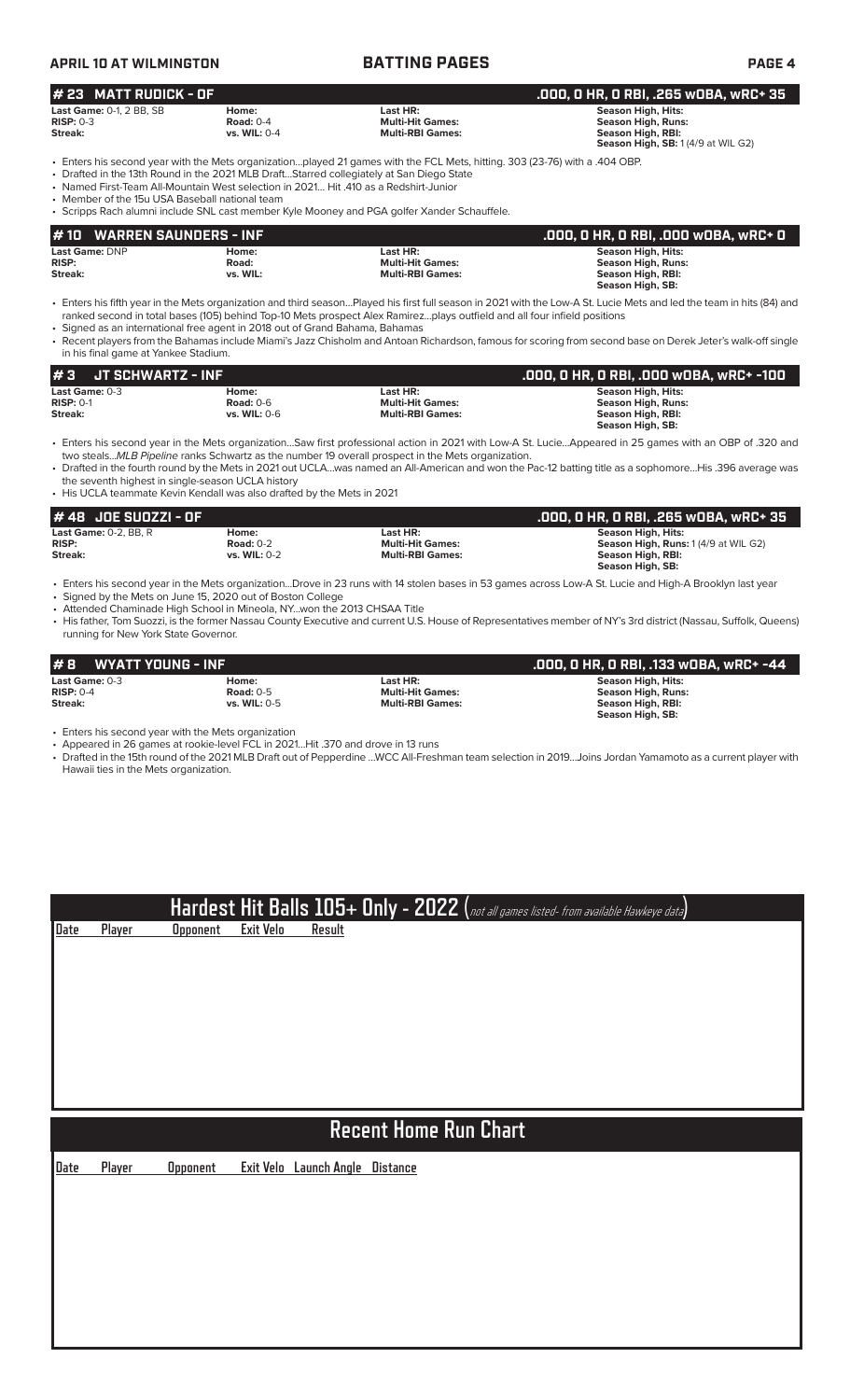| <b>APRIL 10 AT WILMINGTON</b>                                              |                                                                                                                                        | <b>BATTING PAGES</b>                                                                                                                                                                                                                                                                                                   | <b>PAGE 4</b>                                                                                                                                                                                                                                                                                                                        |
|----------------------------------------------------------------------------|----------------------------------------------------------------------------------------------------------------------------------------|------------------------------------------------------------------------------------------------------------------------------------------------------------------------------------------------------------------------------------------------------------------------------------------------------------------------|--------------------------------------------------------------------------------------------------------------------------------------------------------------------------------------------------------------------------------------------------------------------------------------------------------------------------------------|
| # 23 MATT RUDICK - OF                                                      |                                                                                                                                        |                                                                                                                                                                                                                                                                                                                        | .000, 0 HR, 0 RBI, .265 w0BA, wRC+ 35                                                                                                                                                                                                                                                                                                |
| <b>Last Game: 0-1, 2 BB, SB</b><br><b>RISP: 0-3</b><br>Streak:             | Home:<br><b>Road: 0-4</b><br>vs. WIL: 0-4                                                                                              | Last HR:<br><b>Multi-Hit Games:</b><br><b>Multi-RBI Games:</b>                                                                                                                                                                                                                                                         | <b>Season High, Hits:</b><br><b>Season High, Runs:</b><br><b>Season High, RBI:</b><br>Season High, SB: 1 (4/9 at WIL G2)                                                                                                                                                                                                             |
| • Member of the 15u USA Baseball national team                             | • Named First-Team All-Mountain West selection in 2021 Hit .410 as a Redshirt-Junior                                                   | . Enters his second year with the Mets organizationplayed 21 games with the FCL Mets, hitting. 303 (23-76) with a .404 OBP.<br>• Drafted in the 13th Round in the 2021 MLB DraftStarred collegiately at San Diego State<br>• Scripps Rach alumni include SNL cast member Kyle Mooney and PGA golfer Xander Schauffele. |                                                                                                                                                                                                                                                                                                                                      |
| <b>WARREN SAUNDERS - INF</b><br># 10<br>Last Game: DNP<br>RISP:<br>Streak: | Home:<br>Road:<br>vs. WIL:                                                                                                             | Last HR:<br><b>Multi-Hit Games:</b><br><b>Multi-RBI Games:</b>                                                                                                                                                                                                                                                         | .000, 0 HR, 0 RBI, .000 w0BA, wRC+ 0<br><b>Season High, Hits:</b><br><b>Season High, Runs:</b><br><b>Season High, RBI:</b><br>Season High, SB:                                                                                                                                                                                       |
| in his final game at Yankee Stadium.                                       | • Signed as an international free agent in 2018 out of Grand Bahama, Bahamas                                                           | ranked second in total bases (105) behind Top-10 Mets prospect Alex Ramirezplays outfield and all four infield positions                                                                                                                                                                                               | • Enters his fifth year in the Mets organization and third seasonPlayed his first full season in 2021 with the Low-A St. Lucie Mets and led the team in hits (84) and<br>• Recent players from the Bahamas include Miami's Jazz Chisholm and Antoan Richardson, famous for scoring from second base on Derek Jeter's walk-off single |
| #3<br><b>JT SCHWARTZ - INF</b>                                             |                                                                                                                                        |                                                                                                                                                                                                                                                                                                                        | .000, 0 HR, 0 RBI, .000 w0BA, wRC+ -100                                                                                                                                                                                                                                                                                              |
| Last Game: 0-3<br><b>RISP: 0-1</b><br>Streak:                              | Home:<br><b>Road: 0-6</b><br>vs. WIL: 0-6                                                                                              | Last HR:<br><b>Multi-Hit Games:</b><br><b>Multi-RBI Games:</b>                                                                                                                                                                                                                                                         | <b>Season High, Hits:</b><br><b>Season High, Runs:</b><br>Season High, RBI:<br>Season High, SB:                                                                                                                                                                                                                                      |
| the seventh highest in single-season UCLA history                          | • His UCLA teammate Kevin Kendall was also drafted by the Mets in 2021                                                                 | two stealsMLB Pipeline ranks Schwartz as the number 19 overall prospect in the Mets organization.                                                                                                                                                                                                                      | • Enters his second year in the Mets organizationSaw first professional action in 2021 with Low-A St. LucieAppeared in 25 games with an OBP of .320 and<br>• Drafted in the fourth round by the Mets in 2021 out UCLAwas named an All-American and won the Pac-12 batting title as a sophomoreHis .396 average was                   |
| #48 JOE SUOZZI - OF                                                        |                                                                                                                                        |                                                                                                                                                                                                                                                                                                                        | .000, 0 HR, 0 RBI, .265 w0BA, wRC+ 35                                                                                                                                                                                                                                                                                                |
| Last Game: 0-2, BB, R<br><b>RISP:</b><br>Streak:                           | Home:<br><b>Road: 0-2</b><br>vs. WIL: 0-2                                                                                              | Last HR:<br><b>Multi-Hit Games:</b><br><b>Multi-RBI Games:</b>                                                                                                                                                                                                                                                         | <b>Season High, Hits:</b><br>Season High, Runs: 1(4/9 at WIL G2)<br>Season High, RBI:<br>Season High, SB:                                                                                                                                                                                                                            |
|                                                                            | • Signed by the Mets on June 15, 2020 out of Boston College<br>• Attended Chaminade High School in Mineola, NYwon the 2013 CHSAA Title |                                                                                                                                                                                                                                                                                                                        | • Enters his second year in the Mets organizationDrove in 23 runs with 14 stolen bases in 53 games across Low-A St. Lucie and High-A Brooklyn last year                                                                                                                                                                              |

• His father, Tom Suozzi, is the former Nassau County Executive and current U.S. House of Representatives member of NY's 3rd district (Nassau, Suffolk, Queens) running for New York State Governor.

| #8<br>WYATT YOUNG - INF |                  | .000, 0 HR, 0 RBI, .133 w0BA, wRC+ -44 |                           |
|-------------------------|------------------|----------------------------------------|---------------------------|
| <b>Last Game: 0-3</b>   | Home:            | Last HR:                               | Season High, Hits:        |
| $RISP: 0-4$             | <b>Road: 0-5</b> | <b>Multi-Hit Games:</b>                | <b>Season High, Runs:</b> |
| Streak:                 | vs. WIL: 0-5     | <b>Multi-RBI Games:</b>                | Season High, RBI:         |
|                         |                  |                                        | Season High, SB:          |

• Enters his second year with the Mets organization

**Date Player Opponent Exit Velo Result**

• Appeared in 26 games at rookie-level FCL in 2021…Hit .370 and drove in 13 runs

• Drafted in the 15th round of the 2021 MLB Draft out of Pepperdine …WCC All-Freshman team selection in 2019…Joins Jordan Yamamoto as a current player with Hawaii ties in the Mets organization.

**Hardest Hit Balls 105+ Only - 2022 (**not all games listed- from available Hawkeye data**)**

# **Recent Home Run Chart**

**Date Player Opponent Exit Velo Launch Angle Distance**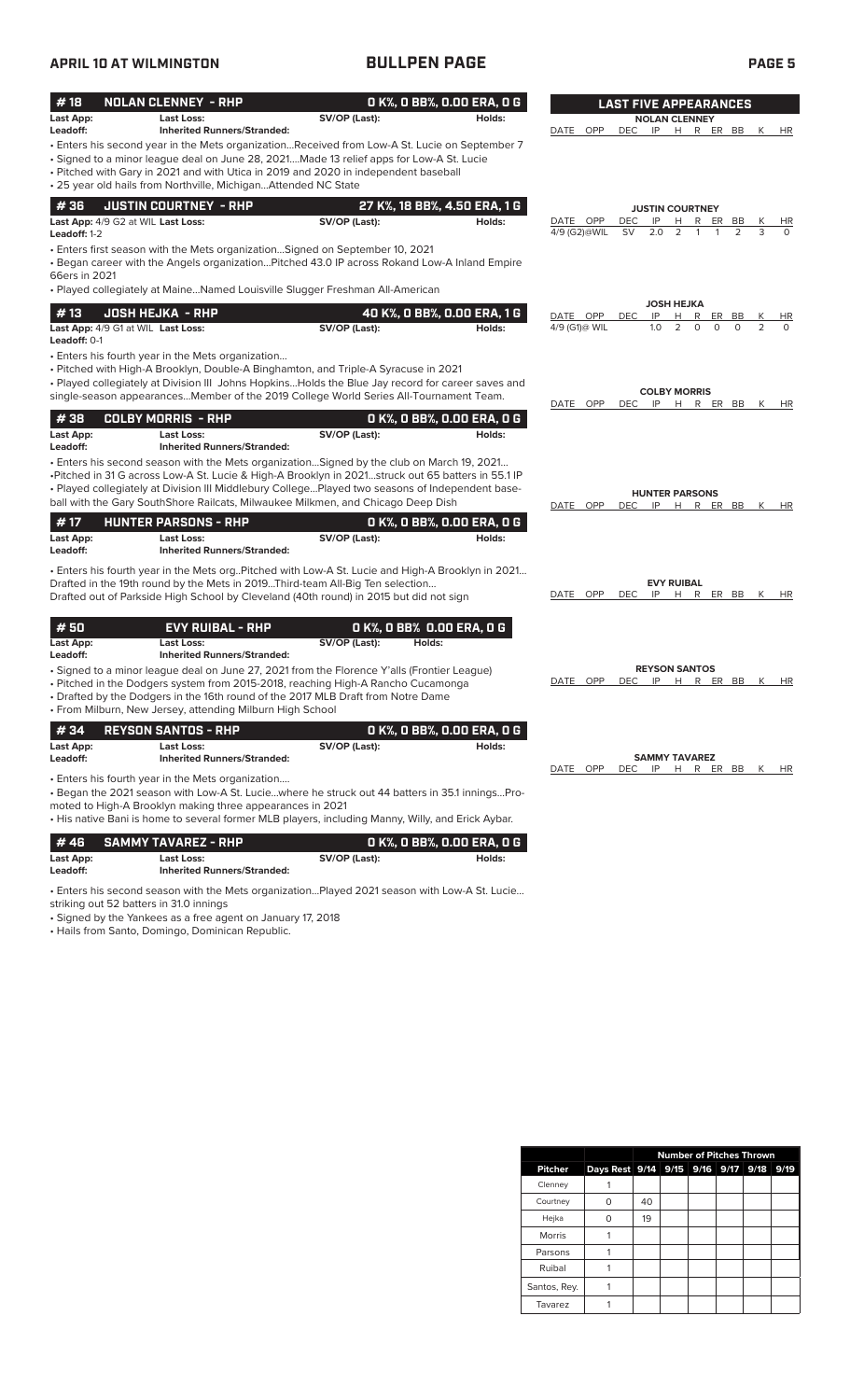## **APRIL 10 AT WILMINGTON BULLPEN PAGE PAGE 5**

| #18<br>Last App:<br>Leadoff:                              | <b>NOLAN CLENNEY - RHP</b><br><b>Last Loss:</b><br><b>Inherited Runners/Stranded:</b>                                                                                                                                                                                                                                                                                                  | SV/OP (Last): | 0 K%, 0 BB%, 0.00 ERA, 0 G<br>Holds:   | DATE<br><b>OPP</b>        | <b>LAST FIVE APPEARANCES</b><br><b>DEC</b> | <b>NOLAN CLENNEY</b><br>IP H R ER BB |           |                |                | К<br><b>HR</b>           |
|-----------------------------------------------------------|----------------------------------------------------------------------------------------------------------------------------------------------------------------------------------------------------------------------------------------------------------------------------------------------------------------------------------------------------------------------------------------|---------------|----------------------------------------|---------------------------|--------------------------------------------|--------------------------------------|-----------|----------------|----------------|--------------------------|
|                                                           | - Enters his second year in the Mets organizationReceived from Low-A St. Lucie on September 7<br>• Signed to a minor league deal on June 28, 2021Made 13 relief apps for Low-A St. Lucie<br>• Pitched with Gary in 2021 and with Utica in 2019 and 2020 in independent baseball<br>• 25 year old hails from Northville, MichiganAttended NC State                                      |               |                                        |                           |                                            |                                      |           |                |                |                          |
| #36<br>Last App: 4/9 G2 at WIL Last Loss:                 | <b>JUSTIN COURTNEY - RHP</b>                                                                                                                                                                                                                                                                                                                                                           | SV/OP (Last): | 27 K%, 18 BB%, 4.50 ERA, 1 G<br>Holds: | DATE OPP                  | DEC                                        | <b>JUSTIN COURTNEY</b><br>IP         | R         | <b>ER</b>      | BB             | HR<br>К                  |
| Leadoff: 1-2<br>66ers in 2021                             | • Enters first season with the Mets organization Signed on September 10, 2021<br>. Began career with the Angels organizationPitched 43.0 IP across Rokand Low-A Inland Empire                                                                                                                                                                                                          |               |                                        | 4/9 (G2)@WIL              | <b>SV</b>                                  | 2.0<br>2                             |           |                | 2              | 3<br>$\Omega$            |
|                                                           | • Played collegiately at MaineNamed Louisville Slugger Freshman All-American                                                                                                                                                                                                                                                                                                           |               |                                        |                           |                                            | JOSH HEJKA                           |           |                |                |                          |
| #13<br>Last App: 4/9 G1 at WIL Last Loss:<br>Leadoff: 0-1 | <b>JOSH HEJKA - RHP</b>                                                                                                                                                                                                                                                                                                                                                                | SV/OP (Last): | 40 K%, 0 BB%, 0.00 ERA, 1 G<br>Holds:  | DATE OPP<br>4/9 (G1)@ WIL | <b>DEC</b>                                 | IP<br>H<br>2<br>1.0                  | R<br>0    | ER<br>$\Omega$ | BB<br>$\Omega$ | Κ<br>HR<br>2<br>$\Omega$ |
|                                                           | • Enters his fourth year in the Mets organization<br>• Pitched with High-A Brooklyn, Double-A Binghamton, and Triple-A Syracuse in 2021<br>. Played collegiately at Division III Johns Hopkins Holds the Blue Jay record for career saves and<br>single-season appearancesMember of the 2019 College World Series All-Tournament Team.                                                 |               |                                        |                           |                                            | <b>COLBY MORRIS</b>                  |           |                |                |                          |
|                                                           |                                                                                                                                                                                                                                                                                                                                                                                        |               |                                        | DATE OPP                  | <b>DEC</b>                                 | IP<br>H                              |           | R ER BB        |                | К<br>HR                  |
| #38<br>Last App:<br>Leadoff:                              | <b>COLBY MORRIS - RHP</b><br>Last Loss:<br><b>Inherited Runners/Stranded:</b>                                                                                                                                                                                                                                                                                                          | SV/OP (Last): | 0 K%, 0 BB%, 0.00 ERA, 0 G<br>Holds:   |                           |                                            |                                      |           |                |                |                          |
|                                                           | . Enters his second season with the Mets organization Signed by the club on March 19, 2021<br>•Pitched in 31 G across Low-A St. Lucie & High-A Brooklyn in 2021struck out 65 batters in 55.1 IP<br>• Played collegiately at Division III Middlebury CollegePlayed two seasons of Independent base-<br>ball with the Gary SouthShore Railcats, Milwaukee Milkmen, and Chicago Deep Dish |               |                                        | DATE OPP                  | DEC.                                       | <b>HUNTER PARSONS</b><br>IP          | H R ER BB |                |                | K<br>HR                  |
| #17<br>Last App:<br>Leadoff:                              | <b>HUNTER PARSONS - RHP</b><br>Last Loss:<br><b>Inherited Runners/Stranded:</b>                                                                                                                                                                                                                                                                                                        | SV/OP (Last): | O K%, O BB%, O.OO ERA, O G<br>Holds:   |                           |                                            |                                      |           |                |                |                          |
|                                                           | . Enters his fourth year in the Mets org. Pitched with Low-A St. Lucie and High-A Brooklyn in 2021<br>Drafted in the 19th round by the Mets in 2019Third-team All-Big Ten selection<br>Drafted out of Parkside High School by Cleveland (40th round) in 2015 but did not sign                                                                                                          |               |                                        | DATE OPP                  | <b>DEC</b>                                 | <b>EVY RUIBAL</b><br>IP              | H R ER BB |                |                | K<br>HR                  |
| #50<br>Last App:<br>Leadoff:                              | <b>EVY RUIBAL - RHP</b><br>Last Loss:<br><b>Inherited Runners/Stranded:</b>                                                                                                                                                                                                                                                                                                            | SV/OP (Last): | O K%, O BB% 0.00 ERA, O G<br>Holds:    |                           |                                            |                                      |           |                |                |                          |
|                                                           | • Signed to a minor league deal on June 27, 2021 from the Florence Y'alls (Frontier League)<br>• Pitched in the Dodgers system from 2015-2018, reaching High-A Rancho Cucamonga<br>• Drafted by the Dodgers in the 16th round of the 2017 MLB Draft from Notre Dame<br>• From Milburn, New Jersey, attending Milburn High School                                                       |               |                                        | <b>OPP</b><br>DATE        | DEC                                        | <b>REYSON SANTOS</b><br>IP<br>H      |           | R ER BB        |                | HR<br>К                  |
| #34                                                       | <b>REYSON SANTOS - RHP</b>                                                                                                                                                                                                                                                                                                                                                             |               | O K%, O BB%, O.OO ERA, O G             |                           |                                            |                                      |           |                |                |                          |
| Last App:<br>Leadoff:                                     | Last Loss:<br><b>Inherited Runners/Stranded:</b>                                                                                                                                                                                                                                                                                                                                       | SV/OP (Last): | Holds:                                 |                           |                                            | <b>SAMMY TAVAREZ</b>                 |           |                |                |                          |
|                                                           | • Enters his fourth year in the Mets organization<br>- Began the 2021 season with Low-A St. Luciewhere he struck out 44 batters in 35.1 inningsPro-<br>moted to High-A Brooklyn making three appearances in 2021<br>• His native Bani is home to several former MLB players, including Manny, Willy, and Erick Aybar.                                                                  |               |                                        | DATE OPP                  | <b>DEC</b>                                 | IP H R ER BB K                       |           |                |                | HR                       |
| #46<br>Last App:<br>Leadoff:                              | <b>SAMMY TAVAREZ - RHP</b><br><b>Last Loss:</b><br><b>Inherited Runners/Stranded:</b>                                                                                                                                                                                                                                                                                                  | SV/OP (Last): | O K%, O BB%, O.OO ERA, O G<br>Holds:   |                           |                                            |                                      |           |                |                |                          |

• Enters his second season with the Mets organization…Played 2021 season with Low-A St. Lucie…

striking out 52 batters in 31.0 innings

• Signed by the Yankees as a free agent on January 17, 2018

• Hails from Santo, Domingo, Dominican Republic.

|                | <b>Number of Pitches Thrown</b>         |    |  |  |  |  |  |  |  |  |  |  |
|----------------|-----------------------------------------|----|--|--|--|--|--|--|--|--|--|--|
| <b>Pitcher</b> | Days Rest 9/14 9/15 9/16 9/17 9/18 9/19 |    |  |  |  |  |  |  |  |  |  |  |
| Clenney        |                                         |    |  |  |  |  |  |  |  |  |  |  |
| Courtney       |                                         | 40 |  |  |  |  |  |  |  |  |  |  |
| Hejka          |                                         | 19 |  |  |  |  |  |  |  |  |  |  |
| <b>Morris</b>  |                                         |    |  |  |  |  |  |  |  |  |  |  |
| Parsons        |                                         |    |  |  |  |  |  |  |  |  |  |  |
| Ruibal         |                                         |    |  |  |  |  |  |  |  |  |  |  |
| Santos, Rey.   |                                         |    |  |  |  |  |  |  |  |  |  |  |
| Tavarez        |                                         |    |  |  |  |  |  |  |  |  |  |  |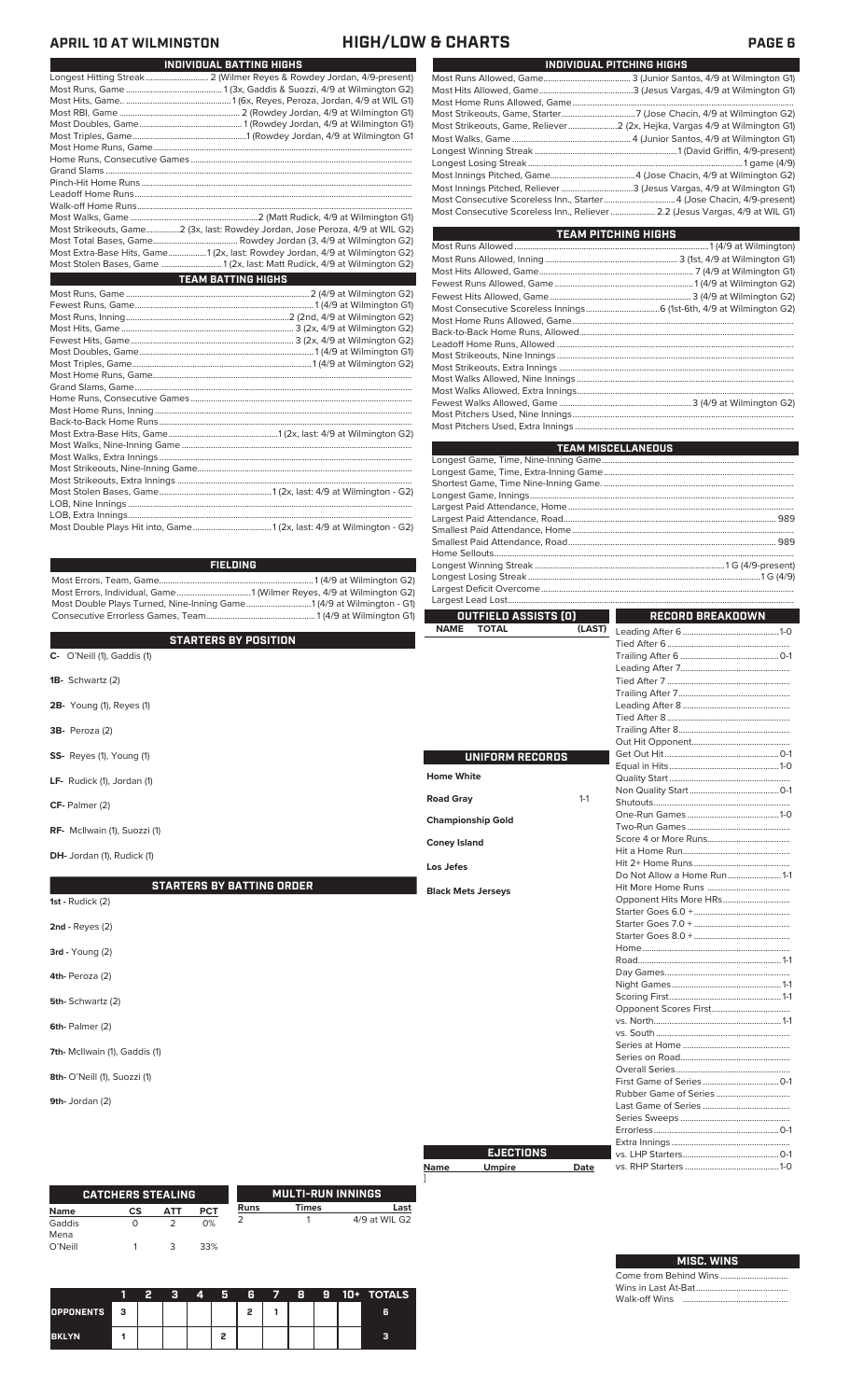| <b>APRIL 10 AT WILMINGTON</b>    | <b>HIGH/LOW &amp; CHARTS</b>                                                                                                                            |                                                                                                                                               | <b>PAGE 6</b>                                                                                                                                          |
|----------------------------------|---------------------------------------------------------------------------------------------------------------------------------------------------------|-----------------------------------------------------------------------------------------------------------------------------------------------|--------------------------------------------------------------------------------------------------------------------------------------------------------|
|                                  | INDIVIDUAL BATTING HIGHS                                                                                                                                |                                                                                                                                               | INDIVIDUAL PITCHING HIGHS                                                                                                                              |
|                                  |                                                                                                                                                         |                                                                                                                                               |                                                                                                                                                        |
|                                  |                                                                                                                                                         |                                                                                                                                               |                                                                                                                                                        |
|                                  |                                                                                                                                                         |                                                                                                                                               |                                                                                                                                                        |
|                                  |                                                                                                                                                         |                                                                                                                                               | Most Strikeouts, Game, Reliever 2 (2x, Hejka, Vargas 4/9 at Wilmington G1)                                                                             |
|                                  |                                                                                                                                                         |                                                                                                                                               |                                                                                                                                                        |
|                                  |                                                                                                                                                         |                                                                                                                                               |                                                                                                                                                        |
|                                  |                                                                                                                                                         |                                                                                                                                               | Most Innings Pitched, Reliever 3 (Jesus Vargas, 4/9 at Wilmington G1)                                                                                  |
|                                  |                                                                                                                                                         |                                                                                                                                               | Most Consecutive Scoreless Inn., Starter  4 (Jose Chacin, 4/9-present)<br>Most Consecutive Scoreless Inn., Reliever  2.2 (Jesus Vargas, 4/9 at WIL G1) |
|                                  | Most Strikeouts, Game2 (3x, last: Rowdey Jordan, Jose Peroza, 4/9 at WIL G2)                                                                            |                                                                                                                                               |                                                                                                                                                        |
|                                  |                                                                                                                                                         |                                                                                                                                               | <b>TEAM PITCHING HIGHS</b>                                                                                                                             |
|                                  | Most Extra-Base Hits, Game1 (2x, last: Rowdey Jordan, 4/9 at Wilmington G2)<br>Most Stolen Bases, Game  1 (2x, last: Matt Rudick, 4/9 at Wilmington G2) |                                                                                                                                               |                                                                                                                                                        |
|                                  | <b>TEAM BATTING HIGHS</b>                                                                                                                               |                                                                                                                                               |                                                                                                                                                        |
|                                  |                                                                                                                                                         |                                                                                                                                               |                                                                                                                                                        |
|                                  |                                                                                                                                                         |                                                                                                                                               |                                                                                                                                                        |
|                                  |                                                                                                                                                         |                                                                                                                                               |                                                                                                                                                        |
|                                  |                                                                                                                                                         |                                                                                                                                               |                                                                                                                                                        |
|                                  |                                                                                                                                                         |                                                                                                                                               |                                                                                                                                                        |
|                                  |                                                                                                                                                         |                                                                                                                                               |                                                                                                                                                        |
|                                  |                                                                                                                                                         |                                                                                                                                               |                                                                                                                                                        |
|                                  |                                                                                                                                                         |                                                                                                                                               |                                                                                                                                                        |
|                                  |                                                                                                                                                         |                                                                                                                                               |                                                                                                                                                        |
|                                  |                                                                                                                                                         |                                                                                                                                               | <b>TEAM MISCELLANEOUS</b>                                                                                                                              |
|                                  |                                                                                                                                                         |                                                                                                                                               |                                                                                                                                                        |
|                                  |                                                                                                                                                         |                                                                                                                                               |                                                                                                                                                        |
|                                  |                                                                                                                                                         |                                                                                                                                               |                                                                                                                                                        |
|                                  |                                                                                                                                                         |                                                                                                                                               |                                                                                                                                                        |
|                                  |                                                                                                                                                         |                                                                                                                                               |                                                                                                                                                        |
|                                  | <b>FIELDING</b>                                                                                                                                         |                                                                                                                                               |                                                                                                                                                        |
|                                  |                                                                                                                                                         |                                                                                                                                               |                                                                                                                                                        |
|                                  | Most Double Plays Turned, Nine-Inning Game1 (4/9 at Wilmington - G1)                                                                                    |                                                                                                                                               |                                                                                                                                                        |
|                                  |                                                                                                                                                         | <b>OUTFIELD ASSISTS (O)</b><br>and the state of the state of the state of the state of the state of the state of the state of the state of th | <b>RECORD BREAKDOWN</b>                                                                                                                                |
|                                  | <b>STARTERS BY POSITION</b>                                                                                                                             | <b>NAME</b><br><b>TOTAL</b>                                                                                                                   |                                                                                                                                                        |
| C- O'Neill (1), Gaddis (1)       |                                                                                                                                                         |                                                                                                                                               |                                                                                                                                                        |
| <b>1B-</b> Schwartz (2)          |                                                                                                                                                         |                                                                                                                                               |                                                                                                                                                        |
|                                  |                                                                                                                                                         |                                                                                                                                               |                                                                                                                                                        |
| <b>2B-</b> Young (1), Reyes (1)  |                                                                                                                                                         |                                                                                                                                               |                                                                                                                                                        |
| 3B- Peroza (2)                   |                                                                                                                                                         |                                                                                                                                               |                                                                                                                                                        |
| SS- Reyes (1), Young (1)         |                                                                                                                                                         | <b>UNIFORM RECORDS</b>                                                                                                                        |                                                                                                                                                        |
| LF- Rudick (1), Jordan (1)       |                                                                                                                                                         | <b>Home White</b>                                                                                                                             |                                                                                                                                                        |
| $CF-$ Palmer $(2)$               |                                                                                                                                                         | <b>Road Gray</b><br>$1 - 1$                                                                                                                   |                                                                                                                                                        |
|                                  |                                                                                                                                                         | <b>Championship Gold</b>                                                                                                                      |                                                                                                                                                        |
| RF- McIlwain (1), Suozzi (1)     |                                                                                                                                                         | <b>Coney Island</b>                                                                                                                           |                                                                                                                                                        |
| DH- Jordan (1), Rudick (1)       |                                                                                                                                                         | Los Jefes                                                                                                                                     |                                                                                                                                                        |
|                                  | <b>STARTERS BY BATTING ORDER</b>                                                                                                                        | <b>Black Mets Jerseys</b>                                                                                                                     | Do Not Allow a Home Run 1-1                                                                                                                            |
| 1st - Rudick $(2)$               |                                                                                                                                                         |                                                                                                                                               |                                                                                                                                                        |
| $2nd$ - Reyes $(2)$              |                                                                                                                                                         |                                                                                                                                               |                                                                                                                                                        |
| $3rd - Young(2)$                 |                                                                                                                                                         |                                                                                                                                               |                                                                                                                                                        |
| 4th-Peroza (2)                   |                                                                                                                                                         |                                                                                                                                               |                                                                                                                                                        |
|                                  |                                                                                                                                                         |                                                                                                                                               |                                                                                                                                                        |
| 5th-Schwartz (2)                 |                                                                                                                                                         |                                                                                                                                               |                                                                                                                                                        |
| 6th-Palmer (2)                   |                                                                                                                                                         |                                                                                                                                               |                                                                                                                                                        |
| 7th- McIlwain (1), Gaddis (1)    |                                                                                                                                                         |                                                                                                                                               |                                                                                                                                                        |
| 8th- O'Neill (1), Suozzi (1)     |                                                                                                                                                         |                                                                                                                                               |                                                                                                                                                        |
| 9th- Jordan (2)                  |                                                                                                                                                         |                                                                                                                                               |                                                                                                                                                        |
|                                  |                                                                                                                                                         |                                                                                                                                               |                                                                                                                                                        |
|                                  |                                                                                                                                                         | <b>EJECTIONS</b>                                                                                                                              |                                                                                                                                                        |
|                                  |                                                                                                                                                         | Name<br><b>Umpire</b><br>Date                                                                                                                 |                                                                                                                                                        |
| <b>CATCHERS STEALING</b>         | <b>MULTI-RUN INNINGS</b>                                                                                                                                |                                                                                                                                               |                                                                                                                                                        |
| CS<br><b>PCT</b><br>АТТ<br>Name  | Times<br><b>Runs</b><br><u>Last</u>                                                                                                                     |                                                                                                                                               |                                                                                                                                                        |
| 2<br>$\circ$<br>0%<br>Gaddis     | 2<br>4/9 at WIL G2<br>$\mathbf{1}$                                                                                                                      |                                                                                                                                               |                                                                                                                                                        |
| Mena<br>O'Neill<br>3<br>33%<br>1 |                                                                                                                                                         |                                                                                                                                               |                                                                                                                                                        |

|              | -2 | -3 | 4 | $-5$ |   |  |  | 6 7 8 9 10 + TOTALS |
|--------------|----|----|---|------|---|--|--|---------------------|
| OPPONENTS 3  |    |    |   |      | 2 |  |  | 6                   |
| <b>BKLYN</b> |    |    |   |      |   |  |  |                     |

### **MISC. WINS**

L

Come from Behind Wins .............................. Wins in Last At-Bat......................................... Walk-off Wins ...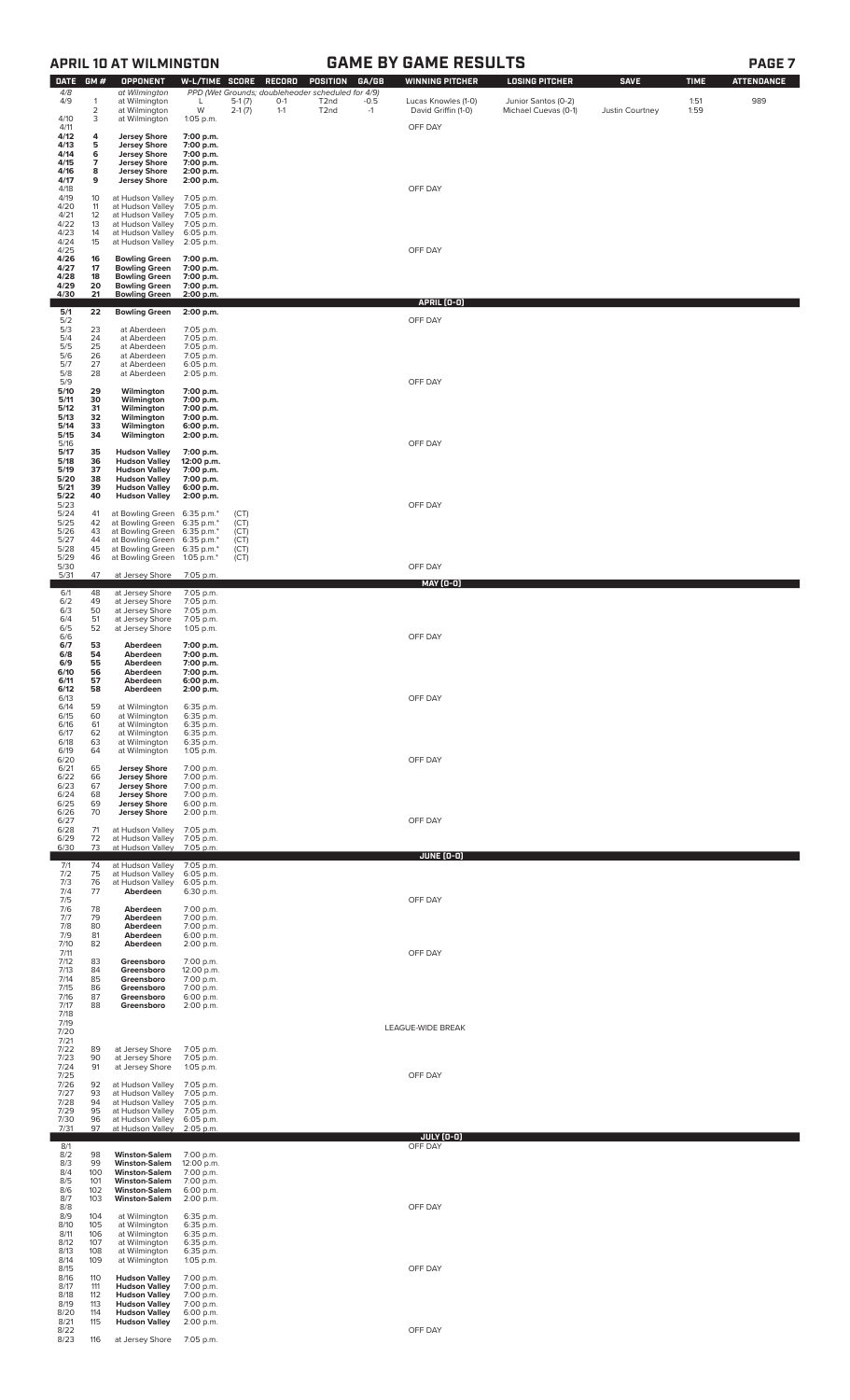|                                                      |                                         | <b>APRIL 10 AT WILMINGTON</b>                                                                                                                    |                                                                             | <b>GAME BY GAME RESULTS</b>  |                                                                                          |                                                           |                         |                                                                      |                                                                      |                                |                             |                          |
|------------------------------------------------------|-----------------------------------------|--------------------------------------------------------------------------------------------------------------------------------------------------|-----------------------------------------------------------------------------|------------------------------|------------------------------------------------------------------------------------------|-----------------------------------------------------------|-------------------------|----------------------------------------------------------------------|----------------------------------------------------------------------|--------------------------------|-----------------------------|--------------------------|
| DATE GM #<br>$4/8$<br>4/9<br>4/10                    | $\mathbf{1}$<br>2<br>3                  | <b>OPPONENT</b><br>at Wilmington<br>at Wilmington<br>at Wilmington<br>at Wilmington                                                              | W-L/TIME SCORE<br>L<br>W<br>1:05 p.m.                                       | $5-1(7)$<br>$2-1(7)$         | <b>RECORD</b><br>PPD (Wet Grounds; doubleheader scheduled for 4/9)<br>$0 - 1$<br>$1 - 1$ | <b>POSITION</b><br>T <sub>2</sub> nd<br>T <sub>2</sub> nd | GA/GB<br>$-0.5$<br>$-1$ | <b>WINNING PITCHER</b><br>Lucas Knowles (1-0)<br>David Griffin (1-0) | <b>LOSING PITCHER</b><br>Junior Santos (0-2)<br>Michael Cuevas (0-1) | <b>SAVE</b><br>Justin Courtney | <b>TIME</b><br>1:51<br>1:59 | <b>ATTENDANCE</b><br>989 |
| 4/11<br>4/12<br>4/13<br>4/14<br>4/15<br>4/16<br>4/17 | 4<br>5<br>6<br>$\overline{7}$<br>8<br>9 | <b>Jersey Shore</b><br><b>Jersey Shore</b><br><b>Jersey Shore</b><br><b>Jersey Shore</b><br><b>Jersey Shore</b><br><b>Jersey Shore</b>           | 7:00 p.m.<br>7:00 p.m.<br>7:00 p.m.<br>7:00 p.m.<br>2:00 p.m.<br>2:00 p.m.  |                              |                                                                                          |                                                           |                         | OFF DAY                                                              |                                                                      |                                |                             |                          |
| 4/18<br>4/19<br>4/20<br>4/21<br>4/22<br>4/23<br>4/24 | 10<br>11<br>12<br>13<br>14<br>15        | at Hudson Valley<br>at Hudson Valley<br>at Hudson Valley<br>at Hudson Valley<br>at Hudson Valley<br>at Hudson Valley                             | 7:05 p.m.<br>7:05 p.m.<br>7:05 p.m.<br>7:05 p.m.<br>6:05 p.m.<br>2:05 p.m.  |                              |                                                                                          |                                                           |                         | OFF DAY                                                              |                                                                      |                                |                             |                          |
| 4/25<br>4/26<br>4/27<br>4/28<br>4/29                 | 16<br>17<br>18<br>20                    | <b>Bowling Green</b><br><b>Bowling Green</b><br><b>Bowling Green</b><br><b>Bowling Green</b>                                                     | 7:00 p.m.<br>7:00 p.m.<br>7:00 p.m.<br>7:00 p.m.                            |                              |                                                                                          |                                                           |                         | OFF DAY                                                              |                                                                      |                                |                             |                          |
| 4/30                                                 | 21<br>22                                | <b>Bowling Green</b><br><b>Bowling Green</b>                                                                                                     | 2:00 p.m.<br>2:00 p.m.                                                      |                              |                                                                                          |                                                           |                         | APRIL (0-0)                                                          |                                                                      |                                |                             |                          |
| $\frac{5}{1}$<br>5/3<br>5/4<br>5/5<br>5/6<br>5/7     | 23<br>24<br>25<br>26<br>27              | at Aberdeen<br>at Aberdeen<br>at Aberdeen<br>at Aberdeen<br>at Aberdeen                                                                          | 7:05 p.m.<br>7:05 p.m.<br>7:05 p.m.<br>7:05 p.m.<br>6:05 p.m.               |                              |                                                                                          |                                                           |                         | OFF DAY                                                              |                                                                      |                                |                             |                          |
| 5/8<br>5/9<br>5/10<br>5/11<br>5/12<br>5/13<br>5/14   | 28<br>29<br>30<br>31<br>32<br>33        | at Aberdeen<br>Wilmington<br>Wilmington<br>Wilmington<br>Wilmington<br>Wilmington                                                                | 2:05 p.m.<br>7:00 p.m.<br>7:00 p.m.<br>7:00 p.m.<br>7:00 p.m.<br>6:00 p.m.  |                              |                                                                                          |                                                           |                         | OFF DAY                                                              |                                                                      |                                |                             |                          |
| 5/15<br>5/16<br>5/17<br>5/18<br>5/19<br>5/20<br>5/21 | 34<br>35<br>36<br>37<br>38<br>39        | Wilmington<br><b>Hudson Valley</b><br><b>Hudson Valley</b><br><b>Hudson Valley</b><br><b>Hudson Valley</b><br><b>Hudson Valley</b>               | 2:00 p.m.<br>7:00 p.m.<br>12:00 p.m.<br>7:00 p.m.<br>7:00 p.m.<br>6:00 p.m. |                              |                                                                                          |                                                           |                         | OFF DAY                                                              |                                                                      |                                |                             |                          |
| 5/22<br>5/23<br>5/24<br>5/25<br>5/26<br>5/27         | 40<br>41<br>42<br>43<br>44              | <b>Hudson Valley</b><br>at Bowling Green 6:35 p.m.*<br>at Bowling Green 6:35 p.m.*<br>at Bowling Green 6:35 p.m.*<br>at Bowling Green 6:35 p.m.* | 2:00 p.m.                                                                   | (CT)<br>(CT)<br>(CT)<br>(CT) |                                                                                          |                                                           |                         | OFF DAY                                                              |                                                                      |                                |                             |                          |
| 5/28<br>5/29<br>5/30                                 | 45<br>46                                | at Bowling Green 6:35 p.m.*<br>at Bowling Green 1:05 p.m.*                                                                                       |                                                                             | (CT)<br>(CT)                 |                                                                                          |                                                           |                         | OFF DAY                                                              |                                                                      |                                |                             |                          |
| 5/31                                                 | 47                                      | at Jersey Shore                                                                                                                                  | 7:05 p.m.<br>7:05 p.m.                                                      |                              |                                                                                          |                                                           |                         | <u>MAY (0-0)</u>                                                     |                                                                      |                                |                             |                          |
| 6/1<br>6/2<br>6/3<br>6/4<br>6/5<br>6/6<br>6/7        | 48<br>49<br>50<br>51<br>52<br>53        | at Jersey Shore<br>at Jersey Shore<br>at Jersey Shore<br>at Jersey Shore<br>at Jersey Shore                                                      | 7:05 p.m.<br>7:05 p.m.<br>7:05 p.m.<br>1:05 p.m.                            |                              |                                                                                          |                                                           |                         | OFF DAY                                                              |                                                                      |                                |                             |                          |
| 6/8<br>6/9<br>6/10<br>6/11<br>6/12<br>6/13           | 54<br>55<br>56<br>57<br>58              | Aberdeen<br>Aberdeen<br>Aberdeen<br>Aberdeen<br>Aberdeen<br>Aberdeen                                                                             | 7:00 p.m.<br>7:00 p.m.<br>7:00 p.m.<br>7:00 p.m.<br>6:00 p.m.<br>2:00 p.m.  |                              |                                                                                          |                                                           |                         | OFF DAY                                                              |                                                                      |                                |                             |                          |
| 6/14<br>6/15<br>6/16<br>6/17<br>6/18<br>6/19         | 59<br>60<br>61<br>62<br>63<br>64        | at Wilmington<br>at Wilmington<br>at Wilmington<br>at Wilmington<br>at Wilmington<br>at Wilmington                                               | 6:35 p.m.<br>6:35 p.m.<br>6:35 p.m.<br>6:35 p.m.<br>6:35 p.m.<br>1:05 p.m.  |                              |                                                                                          |                                                           |                         |                                                                      |                                                                      |                                |                             |                          |
| 6/20<br>6/21<br>6/22<br>6/23<br>6/24<br>6/25<br>6/26 | 65<br>66<br>67<br>68<br>69<br>70        | <b>Jersey Shore</b><br><b>Jersey Shore</b><br><b>Jersey Shore</b><br><b>Jersey Shore</b><br><b>Jersey Shore</b><br><b>Jersey Shore</b>           | 7:00 p.m.<br>7:00 p.m.<br>7:00 p.m.<br>7:00 p.m.<br>6:00 p.m.<br>2:00 p.m.  |                              |                                                                                          |                                                           |                         | OFF DAY                                                              |                                                                      |                                |                             |                          |
| 6/27<br>6/28<br>6/29<br>6/30                         | 71<br>72<br>73                          | at Hudson Valley<br>at Hudson Valley<br>at Hudson Valley                                                                                         | 7:05 p.m.<br>7:05 p.m.<br>7:05 p.m.                                         |                              |                                                                                          |                                                           |                         | OFF DAY                                                              |                                                                      |                                |                             |                          |
| 7/1<br>7/2<br>7/3<br>7/4                             | 74<br>75<br>76<br>77                    | at Hudson Valley<br>at Hudson Valley<br>at Hudson Valley<br>Aberdeen                                                                             | 7:05 p.m.<br>6:05 p.m.<br>6:05 p.m.<br>6:30 p.m.                            |                              |                                                                                          |                                                           |                         | JUNE (0-0)                                                           |                                                                      |                                |                             |                          |
| 7/5<br>7/6<br>7/7<br>7/8<br>7/9<br>7/10<br>7/11      | 78<br>79<br>80<br>81<br>82              | Aberdeen<br>Aberdeen<br>Aberdeen<br>Aberdeen<br>Aberdeen                                                                                         | 7:00 p.m.<br>7:00 p.m.<br>7:00 p.m.<br>6:00 p.m.<br>2:00 p.m.               |                              |                                                                                          |                                                           |                         | OFF DAY<br>OFF DAY                                                   |                                                                      |                                |                             |                          |
| 7/12<br>7/13<br>7/14<br>7/15<br>7/16<br>7/17         | 83<br>84<br>85<br>86<br>87<br>88        | Greensboro<br>Greensboro<br>Greensboro<br>Greensboro<br>Greensboro<br>Greensboro                                                                 | 7:00 p.m.<br>12:00 p.m.<br>7:00 p.m.<br>7:00 p.m.<br>6:00 p.m.<br>2:00 p.m. |                              |                                                                                          |                                                           |                         |                                                                      |                                                                      |                                |                             |                          |
| 7/18<br>7/19<br>7/20                                 |                                         |                                                                                                                                                  |                                                                             |                              |                                                                                          |                                                           |                         | LEAGUE-WIDE BREAK                                                    |                                                                      |                                |                             |                          |
| 7/21<br>7/22<br>7/23<br>7/24<br>7/25                 | 89<br>90<br>91                          | at Jersey Shore<br>at Jersey Shore<br>at Jersey Shore                                                                                            | 7:05 p.m.<br>7:05 p.m.<br>1:05 p.m.                                         |                              |                                                                                          |                                                           |                         | OFF DAY                                                              |                                                                      |                                |                             |                          |
| 7/26<br>7/27<br>7/28<br>7/29<br>7/30<br>7/31         | 92<br>93<br>94<br>95<br>96<br>97        | at Hudson Valley<br>at Hudson Valley<br>at Hudson Valley<br>at Hudson Valley<br>at Hudson Valley<br>at Hudson Valley                             | 7:05 p.m.<br>7:05 p.m.<br>7:05 p.m.<br>7:05 p.m.<br>6:05 p.m.<br>2:05 p.m.  |                              |                                                                                          |                                                           |                         |                                                                      |                                                                      |                                |                             |                          |
| 8/1<br>8/2                                           | 98                                      | <b>Winston-Salem</b>                                                                                                                             | 7:00 p.m.                                                                   |                              |                                                                                          |                                                           |                         | JULY (0-0)<br>OFF DAY                                                |                                                                      |                                |                             |                          |
| 8/3<br>8/4<br>8/5<br>8/6<br>8/7<br>8/8               | 99<br>100<br>101<br>102<br>103          | <b>Winston-Salem</b><br><b>Winston-Salem</b><br><b>Winston-Salem</b><br><b>Winston-Salem</b><br><b>Winston-Salem</b>                             | 12:00 p.m.<br>7:00 p.m.<br>7:00 p.m.<br>6:00 p.m.<br>2:00 p.m.              |                              |                                                                                          |                                                           |                         | OFF DAY                                                              |                                                                      |                                |                             |                          |
| 8/9<br>8/10<br>8/11<br>8/12<br>8/13<br>8/14          | 104<br>105<br>106<br>107<br>108<br>109  | at Wilmington<br>at Wilmington<br>at Wilmington<br>at Wilmington<br>at Wilmington<br>at Wilmington                                               | 6:35 p.m.<br>6:35 p.m.<br>6:35 p.m.<br>6:35 p.m.<br>6:35 p.m.<br>1:05 p.m.  |                              |                                                                                          |                                                           |                         |                                                                      |                                                                      |                                |                             |                          |
| 8/15<br>8/16<br>8/17<br>8/18<br>8/19<br>8/20<br>8/21 | 110<br>111<br>112<br>113<br>114<br>115  | <b>Hudson Valley</b><br><b>Hudson Valley</b><br><b>Hudson Valley</b><br><b>Hudson Valley</b><br><b>Hudson Valley</b><br><b>Hudson Valley</b>     | 7:00 p.m.<br>7:00 p.m.<br>7:00 p.m.<br>7:00 p.m.<br>6:00 p.m.<br>2:00 p.m.  |                              |                                                                                          |                                                           |                         | OFF DAY                                                              |                                                                      |                                |                             |                          |
| 8/22<br>8/23                                         | 116                                     | at Jersey Shore                                                                                                                                  | 7:05 p.m.                                                                   |                              |                                                                                          |                                                           |                         | OFF DAY                                                              |                                                                      |                                |                             |                          |